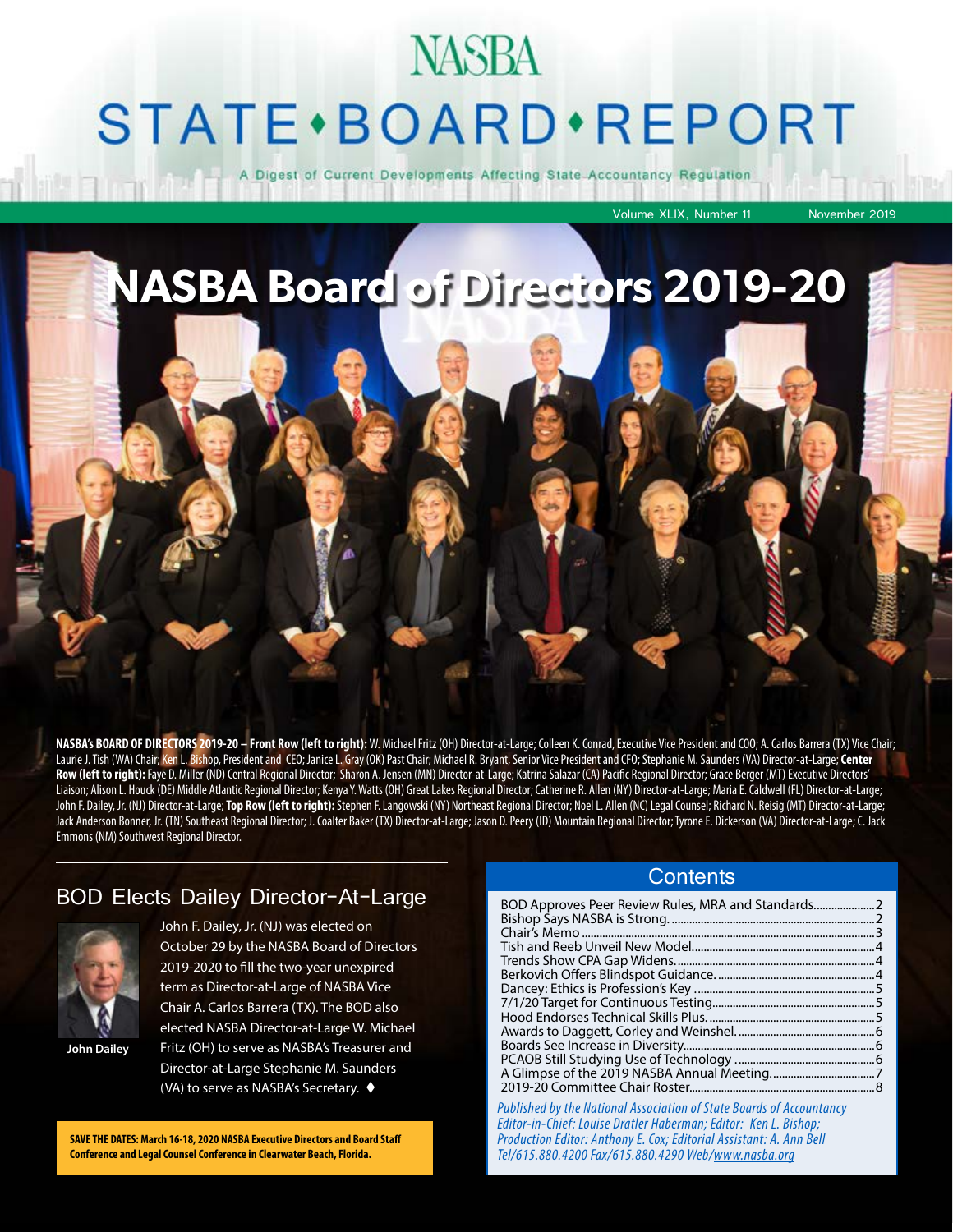# **NASBA STATE** · BOARD · REPORT

gest of Current Developments Affecting State Accountancy Regulation

Volume XLIX, Number 11 November 2019

**NASBA Board of Directors 2019-20**

**NASBA's BOARD OF DIRECTORS 2019-20 – Front Row (left to right):** W. Michael Fritz (OH) Director-at-Large; Colleen K. Conrad, Executive Vice President and COO; A. Carlos Barrera (TX) Vice Chair; Laurie J. Tish (WA) Chair; Ken L. Bishop, President and CEO; Janice L. Gray (OK) Past Chair; Michael R. Bryant, Senior Vice President and CFO; Stephanie M. Saunders (VA) Director-at-Large; **Center**  Row (left to right): Faye D. Miller (ND) Central Regional Director; Sharon A. Jensen (MN) Director-at-Large; Katrina Salazar (CA) Pacific Regional Director; Grace Berger (MT) Executive Directors' Liaison; Alison L. Houck (DE) Middle Atlantic Regional Director; Kenya Y. Watts (OH) Great Lakes Regional Director; Catherine R. Allen (NY) Director-at-Large; Maria E. Caldwell (FL) Director-at-Large; John F. Dailey, Jr. (NJ) Director-at-Large; **Top Row (left to right):** Stephen F. Langowski (NY) Northeast Regional Director; Noel L. Allen (NC) Legal Counsel; Richard N. Reisig (MT) Director-at-Large; Jack Anderson Bonner, Jr. (TN) Southeast Regional Director; J. Coalter Baker (TX) Director-at-Large; Jason D. Peery (ID) Mountain Regional Director; Tyrone E. Dickerson (VA) Director-at-Large; C. Jack Emmons (NM) Southwest Regional Director.

#### BOD Elects Dailey Director-At-Large



John F. Dailey, Jr. (NJ) was elected on October 29 by the NASBA Board of Directors 2019-2020 to fill the two-year unexpired term as Director-at-Large of NASBA Vice Chair A. Carlos Barrera (TX). The BOD also elected NASBA Director-at-Large W. Michael Fritz (OH) to serve as NASBA's Treasurer and Director-at-Large Stephanie M. Saunders

**John Dailey**

(VA) to serve as NASBA's Secretary.  $\blacklozenge$ 

**SAVE THE DATES: March 16-18, 2020 NASBA Executive Directors and Board Staff Conference and Legal Counsel Conference in Clearwater Beach, Florida.**

#### **Contents**

| BOD Approves Peer Review Rules, MRA and Standards |  |
|---------------------------------------------------|--|
|                                                   |  |
|                                                   |  |
|                                                   |  |
|                                                   |  |
|                                                   |  |
|                                                   |  |
|                                                   |  |
|                                                   |  |
|                                                   |  |
|                                                   |  |
|                                                   |  |
|                                                   |  |
|                                                   |  |
|                                                   |  |

*Published by the National Association of State Boards of Accountancy Editor-in-Chief: Louise Dratler Haberman; Editor: Ken L. Bishop; Production Editor: Anthony E. Cox; Editorial Assistant: A. Ann Bell Tel/615.880.4200 Fax/615.880.4290 Web/www.nasba.org*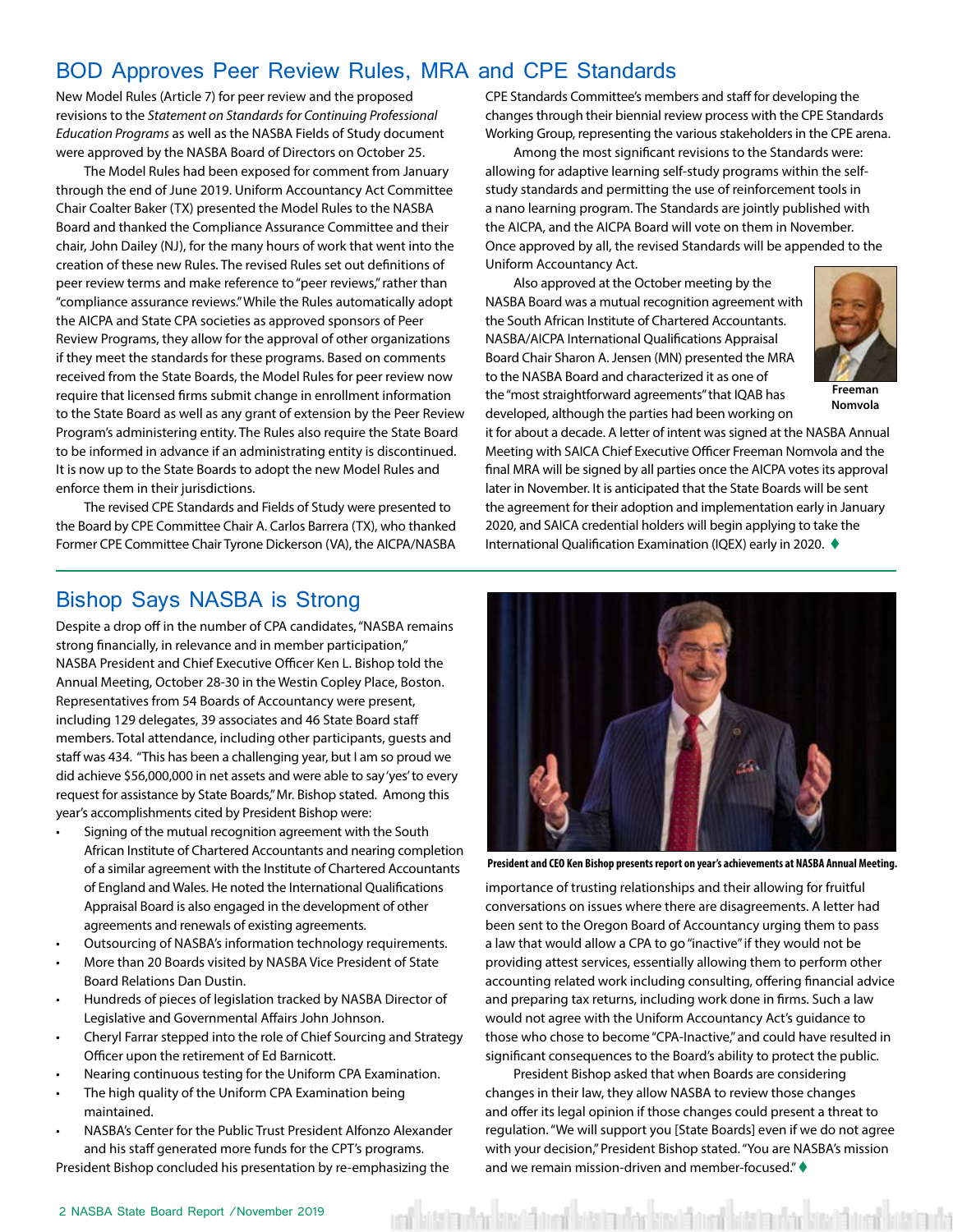#### BOD Approves Peer Review Rules, MRA and CPE Standards

New Model Rules (Article 7) for peer review and the proposed revisions to the *Statement on Standards for Continuing Professional Education Programs* as well as the NASBA Fields of Study document were approved by the NASBA Board of Directors on October 25.

The Model Rules had been exposed for comment from January through the end of June 2019. Uniform Accountancy Act Committee Chair Coalter Baker (TX) presented the Model Rules to the NASBA Board and thanked the Compliance Assurance Committee and their chair, John Dailey (NJ), for the many hours of work that went into the creation of these new Rules. The revised Rules set out definitions of peer review terms and make reference to "peer reviews," rather than "compliance assurance reviews." While the Rules automatically adopt the AICPA and State CPA societies as approved sponsors of Peer Review Programs, they allow for the approval of other organizations if they meet the standards for these programs. Based on comments received from the State Boards, the Model Rules for peer review now require that licensed firms submit change in enrollment information to the State Board as well as any grant of extension by the Peer Review Program's administering entity. The Rules also require the State Board to be informed in advance if an administrating entity is discontinued. It is now up to the State Boards to adopt the new Model Rules and enforce them in their jurisdictions.

The revised CPE Standards and Fields of Study were presented to the Board by CPE Committee Chair A. Carlos Barrera (TX), who thanked Former CPE Committee Chair Tyrone Dickerson (VA), the AICPA/NASBA CPE Standards Committee's members and staff for developing the changes through their biennial review process with the CPE Standards Working Group, representing the various stakeholders in the CPE arena.

Among the most significant revisions to the Standards were: allowing for adaptive learning self-study programs within the selfstudy standards and permitting the use of reinforcement tools in a nano learning program. The Standards are jointly published with the AICPA, and the AICPA Board will vote on them in November. Once approved by all, the revised Standards will be appended to the Uniform Accountancy Act.

Also approved at the October meeting by the NASBA Board was a mutual recognition agreement with the South African Institute of Chartered Accountants. NASBA/AICPA International Qualifications Appraisal Board Chair Sharon A. Jensen (MN) presented the MRA to the NASBA Board and characterized it as one of the "most straightforward agreements" that IQAB has developed, although the parties had been working on



**Freeman Nomvola**

it for about a decade. A letter of intent was signed at the NASBA Annual Meeting with SAICA Chief Executive Officer Freeman Nomvola and the final MRA will be signed by all parties once the AICPA votes its approval later in November. It is anticipated that the State Boards will be sent the agreement for their adoption and implementation early in January 2020, and SAICA credential holders will begin applying to take the International Qualification Examination (IQEX) early in 2020. ♦

#### Bishop Says NASBA is Strong

Despite a drop off in the number of CPA candidates, "NASBA remains strong financially, in relevance and in member participation," NASBA President and Chief Executive Officer Ken L. Bishop told the Annual Meeting, October 28-30 in the Westin Copley Place, Boston. Representatives from 54 Boards of Accountancy were present, including 129 delegates, 39 associates and 46 State Board staff members. Total attendance, including other participants, guests and staff was 434. "This has been a challenging year, but I am so proud we did achieve \$56,000,000 in net assets and were able to say 'yes' to every request for assistance by State Boards," Mr. Bishop stated. Among this year's accomplishments cited by President Bishop were:

- Signing of the mutual recognition agreement with the South African Institute of Chartered Accountants and nearing completion of a similar agreement with the Institute of Chartered Accountants of England and Wales. He noted the International Qualifications Appraisal Board is also engaged in the development of other agreements and renewals of existing agreements.
- Outsourcing of NASBA's information technology requirements.
- More than 20 Boards visited by NASBA Vice President of State Board Relations Dan Dustin.
- Hundreds of pieces of legislation tracked by NASBA Director of Legislative and Governmental Affairs John Johnson.
- Cheryl Farrar stepped into the role of Chief Sourcing and Strategy Officer upon the retirement of Ed Barnicott.
- Nearing continuous testing for the Uniform CPA Examination.
- The high quality of the Uniform CPA Examination being maintained.
- NASBA's Center for the Public Trust President Alfonzo Alexander and his staff generated more funds for the CPT's programs.

President Bishop concluded his presentation by re-emphasizing the



**President and CEO Ken Bishop presents report on year's achievements at NASBA Annual Meeting.**

importance of trusting relationships and their allowing for fruitful conversations on issues where there are disagreements. A letter had been sent to the Oregon Board of Accountancy urging them to pass a law that would allow a CPA to go "inactive" if they would not be providing attest services, essentially allowing them to perform other accounting related work including consulting, offering financial advice and preparing tax returns, including work done in firms. Such a law would not agree with the Uniform Accountancy Act's guidance to those who chose to become "CPA-Inactive," and could have resulted in significant consequences to the Board's ability to protect the public.

President Bishop asked that when Boards are considering changes in their law, they allow NASBA to review those changes and offer its legal opinion if those changes could present a threat to regulation. "We will support you [State Boards] even if we do not agree with your decision," President Bishop stated. "You are NASBA's mission and we remain mission-driven and member-focused." $\blacklozenge$ 

atalen akad kasat batal sebagai kasat batal sebagai kasat kasat kasat kasa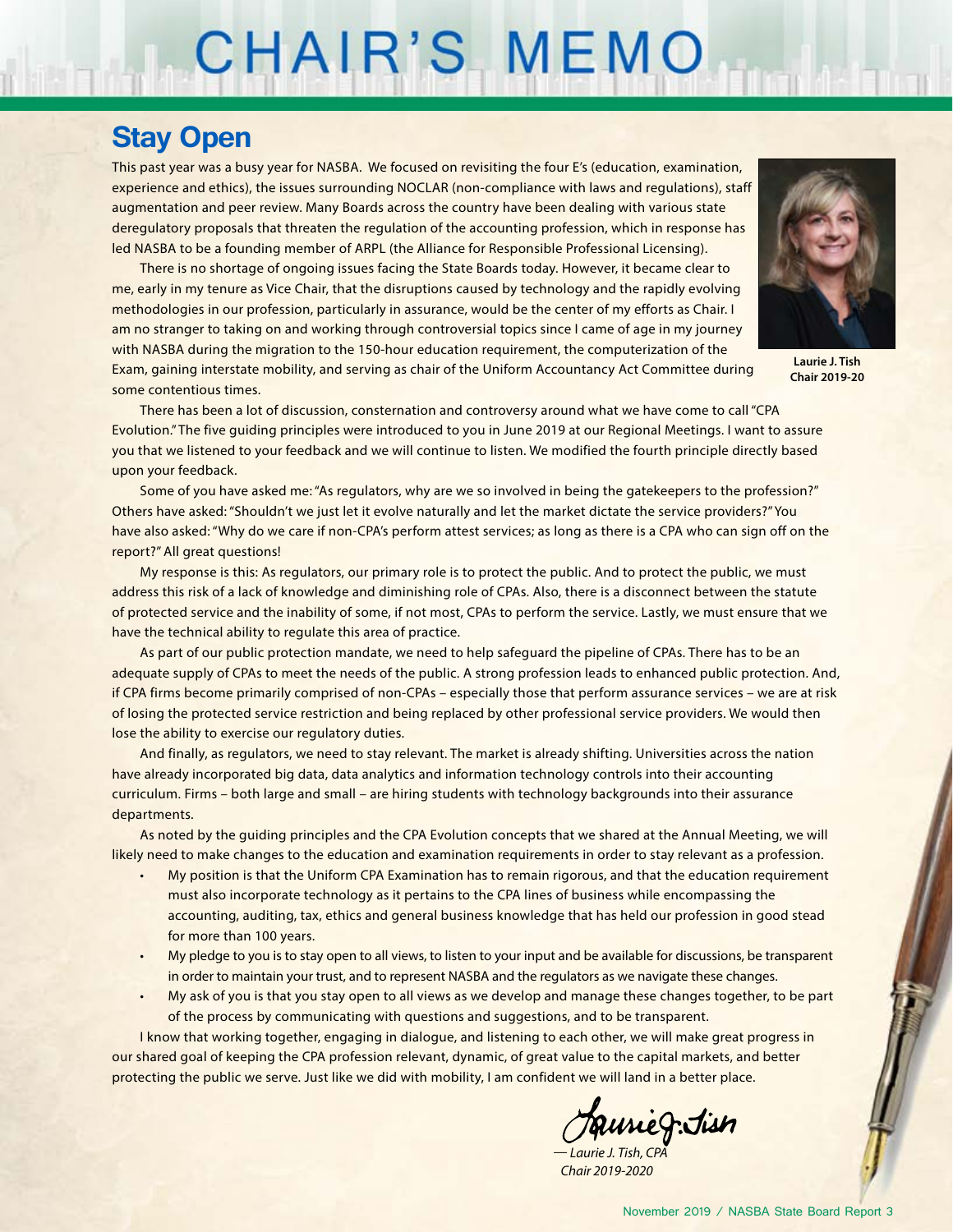# CHAIR'S MEMO

### **Stay Open**

This past year was a busy year for NASBA. We focused on revisiting the four E's (education, examination, experience and ethics), the issues surrounding NOCLAR (non-compliance with laws and regulations), staff augmentation and peer review. Many Boards across the country have been dealing with various state deregulatory proposals that threaten the regulation of the accounting profession, which in response has led NASBA to be a founding member of ARPL (the Alliance for Responsible Professional Licensing).

There is no shortage of ongoing issues facing the State Boards today. However, it became clear to me, early in my tenure as Vice Chair, that the disruptions caused by technology and the rapidly evolving methodologies in our profession, particularly in assurance, would be the center of my efforts as Chair. I am no stranger to taking on and working through controversial topics since I came of age in my journey with NASBA during the migration to the 150-hour education requirement, the computerization of the Exam, gaining interstate mobility, and serving as chair of the Uniform Accountancy Act Committee during some contentious times.



**Laurie J. Tish Chair 2019-20**

There has been a lot of discussion, consternation and controversy around what we have come to call "CPA Evolution." The five guiding principles were introduced to you in June 2019 at our Regional Meetings. I want to assure you that we listened to your feedback and we will continue to listen. We modified the fourth principle directly based upon your feedback.

Some of you have asked me: "As regulators, why are we so involved in being the gatekeepers to the profession?" Others have asked: "Shouldn't we just let it evolve naturally and let the market dictate the service providers?" You have also asked: "Why do we care if non-CPA's perform attest services; as long as there is a CPA who can sign off on the report?" All great questions!

My response is this: As regulators, our primary role is to protect the public. And to protect the public, we must address this risk of a lack of knowledge and diminishing role of CPAs. Also, there is a disconnect between the statute of protected service and the inability of some, if not most, CPAs to perform the service. Lastly, we must ensure that we have the technical ability to regulate this area of practice.

As part of our public protection mandate, we need to help safeguard the pipeline of CPAs. There has to be an adequate supply of CPAs to meet the needs of the public. A strong profession leads to enhanced public protection. And, if CPA firms become primarily comprised of non-CPAs – especially those that perform assurance services – we are at risk of losing the protected service restriction and being replaced by other professional service providers. We would then lose the ability to exercise our regulatory duties.

And finally, as regulators, we need to stay relevant. The market is already shifting. Universities across the nation have already incorporated big data, data analytics and information technology controls into their accounting curriculum. Firms – both large and small – are hiring students with technology backgrounds into their assurance departments.

As noted by the guiding principles and the CPA Evolution concepts that we shared at the Annual Meeting, we will likely need to make changes to the education and examination requirements in order to stay relevant as a profession.

- My position is that the Uniform CPA Examination has to remain rigorous, and that the education requirement must also incorporate technology as it pertains to the CPA lines of business while encompassing the accounting, auditing, tax, ethics and general business knowledge that has held our profession in good stead for more than 100 years.
- My pledge to you is to stay open to all views, to listen to your input and be available for discussions, be transparent in order to maintain your trust, and to represent NASBA and the regulators as we navigate these changes.
- My ask of you is that you stay open to all views as we develop and manage these changes together, to be part of the process by communicating with questions and suggestions, and to be transparent.

I know that working together, engaging in dialogue, and listening to each other, we will make great progress in our shared goal of keeping the CPA profession relevant, dynamic, of great value to the capital markets, and better protecting the public we serve. Just like we did with mobility, I am confident we will land in a better place.

faurieg.Jisn

*— Laurie J. Tish, CPA Chair 2019-2020*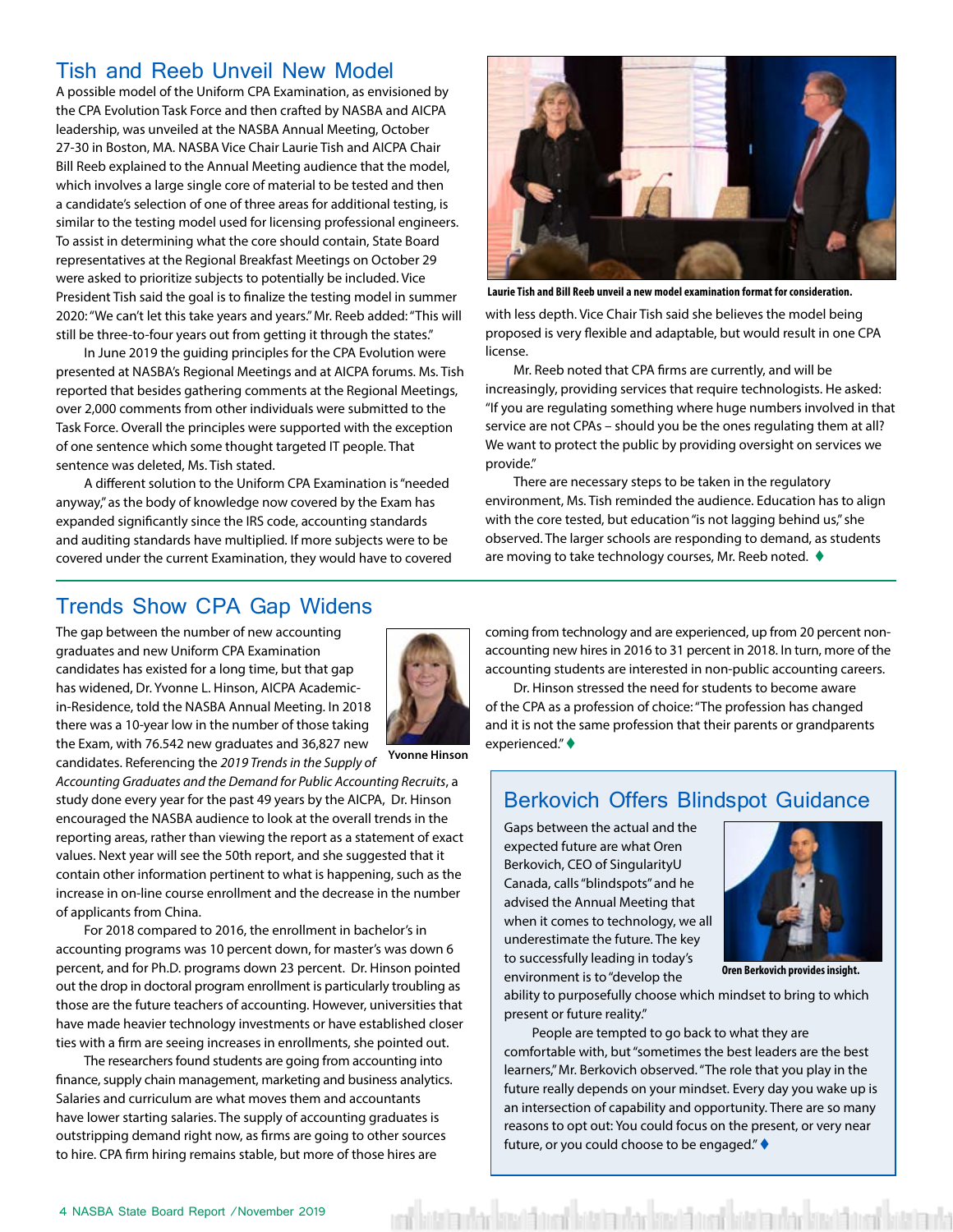#### Tish and Reeb Unveil New Model

A possible model of the Uniform CPA Examination, as envisioned by the CPA Evolution Task Force and then crafted by NASBA and AICPA leadership, was unveiled at the NASBA Annual Meeting, October 27-30 in Boston, MA. NASBA Vice Chair Laurie Tish and AICPA Chair Bill Reeb explained to the Annual Meeting audience that the model, which involves a large single core of material to be tested and then a candidate's selection of one of three areas for additional testing, is similar to the testing model used for licensing professional engineers. To assist in determining what the core should contain, State Board representatives at the Regional Breakfast Meetings on October 29 were asked to prioritize subjects to potentially be included. Vice President Tish said the goal is to finalize the testing model in summer 2020: "We can't let this take years and years." Mr. Reeb added: "This will still be three-to-four years out from getting it through the states."

In June 2019 the guiding principles for the CPA Evolution were presented at NASBA's Regional Meetings and at AICPA forums. Ms. Tish reported that besides gathering comments at the Regional Meetings, over 2,000 comments from other individuals were submitted to the Task Force. Overall the principles were supported with the exception of one sentence which some thought targeted IT people. That sentence was deleted, Ms. Tish stated.

A different solution to the Uniform CPA Examination is "needed anyway," as the body of knowledge now covered by the Exam has expanded significantly since the IRS code, accounting standards and auditing standards have multiplied. If more subjects were to be covered under the current Examination, they would have to covered



**Laurie Tish and Bill Reeb unveil a new model examination format for consideration.**

with less depth. Vice Chair Tish said she believes the model being proposed is very flexible and adaptable, but would result in one CPA license.

Mr. Reeb noted that CPA firms are currently, and will be increasingly, providing services that require technologists. He asked: "If you are regulating something where huge numbers involved in that service are not CPAs – should you be the ones regulating them at all? We want to protect the public by providing oversight on services we provide."

There are necessary steps to be taken in the regulatory environment, Ms. Tish reminded the audience. Education has to align with the core tested, but education "is not lagging behind us," she observed. The larger schools are responding to demand, as students are moving to take technology courses, Mr. Reeb noted.  $\blacklozenge$ 

#### Trends Show CPA Gap Widens

The gap between the number of new accounting graduates and new Uniform CPA Examination candidates has existed for a long time, but that gap has widened, Dr. Yvonne L. Hinson, AICPA Academicin-Residence, told the NASBA Annual Meeting. In 2018 there was a 10-year low in the number of those taking the Exam, with 76.542 new graduates and 36,827 new candidates. Referencing the *2019 Trends in the Supply of* 



**Yvonne Hinson**

*Accounting Graduates and the Demand for Public Accounting Recruits*, a study done every year for the past 49 years by the AICPA, Dr. Hinson encouraged the NASBA audience to look at the overall trends in the reporting areas, rather than viewing the report as a statement of exact values. Next year will see the 50th report, and she suggested that it contain other information pertinent to what is happening, such as the increase in on-line course enrollment and the decrease in the number of applicants from China.

For 2018 compared to 2016, the enrollment in bachelor's in accounting programs was 10 percent down, for master's was down 6 percent, and for Ph.D. programs down 23 percent. Dr. Hinson pointed out the drop in doctoral program enrollment is particularly troubling as those are the future teachers of accounting. However, universities that have made heavier technology investments or have established closer ties with a firm are seeing increases in enrollments, she pointed out.

The researchers found students are going from accounting into finance, supply chain management, marketing and business analytics. Salaries and curriculum are what moves them and accountants have lower starting salaries. The supply of accounting graduates is outstripping demand right now, as firms are going to other sources to hire. CPA firm hiring remains stable, but more of those hires are

coming from technology and are experienced, up from 20 percent nonaccounting new hires in 2016 to 31 percent in 2018. In turn, more of the accounting students are interested in non-public accounting careers.

Dr. Hinson stressed the need for students to become aware of the CPA as a profession of choice: "The profession has changed and it is not the same profession that their parents or grandparents experienced." $\blacklozenge$ 

#### Berkovich Offers Blindspot Guidance

Gaps between the actual and the expected future are what Oren Berkovich, CEO of SingularityU Canada, calls "blindspots" and he advised the Annual Meeting that when it comes to technology, we all underestimate the future. The key to successfully leading in today's environment is to "develop the



**Oren Berkovich provides insight.**

ability to purposefully choose which mindset to bring to which present or future reality."

People are tempted to go back to what they are comfortable with, but "sometimes the best leaders are the best learners," Mr. Berkovich observed. "The role that you play in the future really depends on your mindset. Every day you wake up is an intersection of capability and opportunity. There are so many reasons to opt out: You could focus on the present, or very near future, or you could choose to be engaged." $\blacklozenge$ 

kitatan kachin na birtatan kachin da ma'un birtatan kachin na birtatan k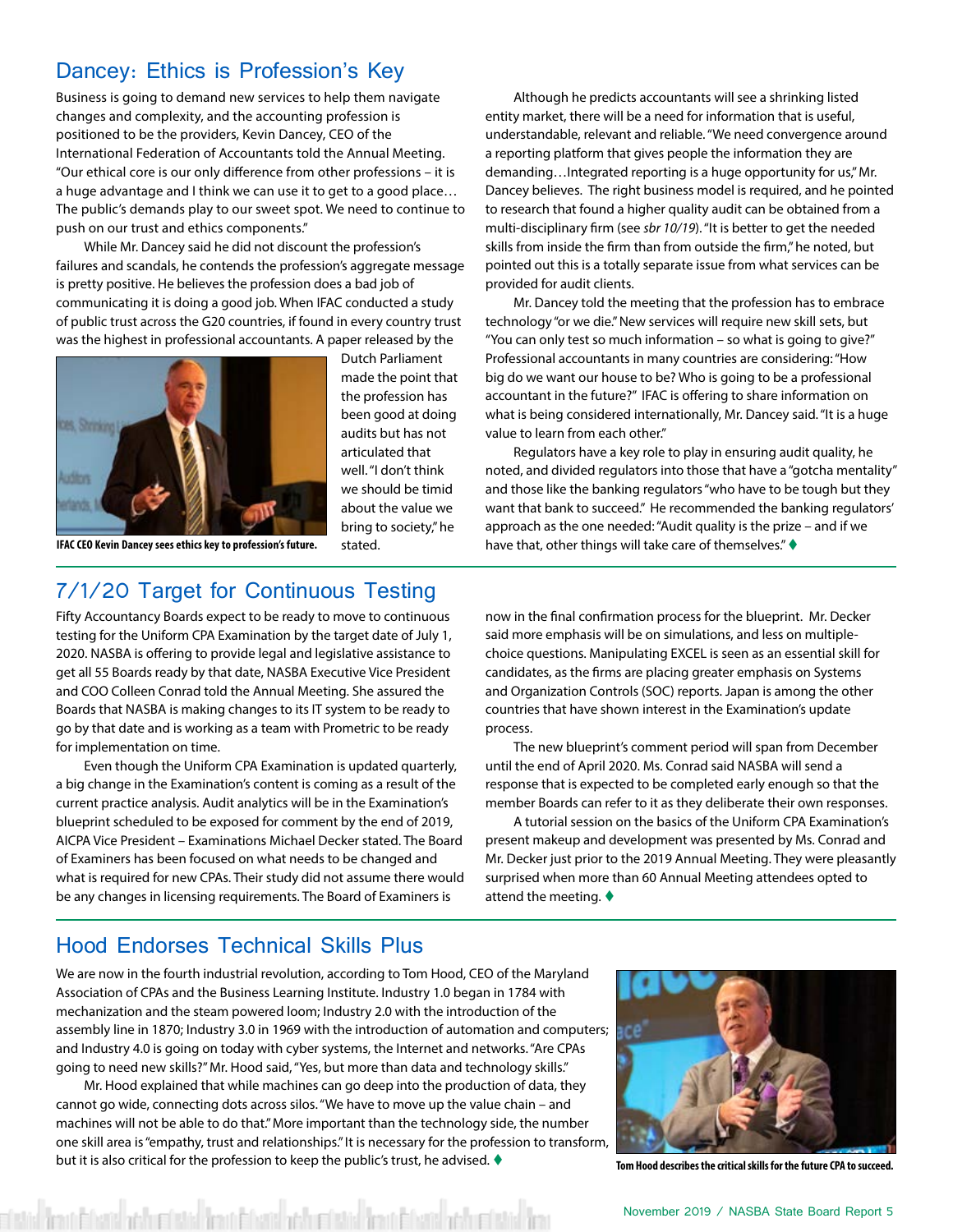#### Dancey: Ethics is Profession's Key

Business is going to demand new services to help them navigate changes and complexity, and the accounting profession is positioned to be the providers, Kevin Dancey, CEO of the International Federation of Accountants told the Annual Meeting. "Our ethical core is our only difference from other professions – it is a huge advantage and I think we can use it to get to a good place… The public's demands play to our sweet spot. We need to continue to push on our trust and ethics components."

While Mr. Dancey said he did not discount the profession's failures and scandals, he contends the profession's aggregate message is pretty positive. He believes the profession does a bad job of communicating it is doing a good job. When IFAC conducted a study of public trust across the G20 countries, if found in every country trust was the highest in professional accountants. A paper released by the



Dutch Parliament made the point that the profession has been good at doing audits but has not articulated that well. "I don't think we should be timid about the value we bring to society," he stated.

**IFAC CEO Kevin Dancey sees ethics key to profession's future.**

#### 7/1/20 Target for Continuous Testing

Fifty Accountancy Boards expect to be ready to move to continuous testing for the Uniform CPA Examination by the target date of July 1, 2020. NASBA is offering to provide legal and legislative assistance to get all 55 Boards ready by that date, NASBA Executive Vice President and COO Colleen Conrad told the Annual Meeting. She assured the Boards that NASBA is making changes to its IT system to be ready to go by that date and is working as a team with Prometric to be ready for implementation on time.

Even though the Uniform CPA Examination is updated quarterly, a big change in the Examination's content is coming as a result of the current practice analysis. Audit analytics will be in the Examination's blueprint scheduled to be exposed for comment by the end of 2019, AICPA Vice President – Examinations Michael Decker stated. The Board of Examiners has been focused on what needs to be changed and what is required for new CPAs. Their study did not assume there would be any changes in licensing requirements. The Board of Examiners is

now in the final confirmation process for the blueprint. Mr. Decker said more emphasis will be on simulations, and less on multiplechoice questions. Manipulating EXCEL is seen as an essential skill for candidates, as the firms are placing greater emphasis on Systems and Organization Controls (SOC) reports. Japan is among the other countries that have shown interest in the Examination's update process.

have that, other things will take care of themselves." $\blacklozenge$ 

Although he predicts accountants will see a shrinking listed entity market, there will be a need for information that is useful, understandable, relevant and reliable. "We need convergence around a reporting platform that gives people the information they are demanding…Integrated reporting is a huge opportunity for us," Mr. Dancey believes. The right business model is required, and he pointed to research that found a higher quality audit can be obtained from a multi-disciplinary firm (see *sbr 10/19*). "It is better to get the needed skills from inside the firm than from outside the firm," he noted, but pointed out this is a totally separate issue from what services can be

Mr. Dancey told the meeting that the profession has to embrace technology "or we die." New services will require new skill sets, but "You can only test so much information – so what is going to give?" Professional accountants in many countries are considering: "How big do we want our house to be? Who is going to be a professional accountant in the future?" IFAC is offering to share information on what is being considered internationally, Mr. Dancey said. "It is a huge

Regulators have a key role to play in ensuring audit quality, he noted, and divided regulators into those that have a "gotcha mentality" and those like the banking regulators "who have to be tough but they want that bank to succeed." He recommended the banking regulators' approach as the one needed: "Audit quality is the prize – and if we

provided for audit clients.

value to learn from each other."

The new blueprint's comment period will span from December until the end of April 2020. Ms. Conrad said NASBA will send a response that is expected to be completed early enough so that the member Boards can refer to it as they deliberate their own responses.

A tutorial session on the basics of the Uniform CPA Examination's present makeup and development was presented by Ms. Conrad and Mr. Decker just prior to the 2019 Annual Meeting. They were pleasantly surprised when more than 60 Annual Meeting attendees opted to attend the meeting.  $\blacklozenge$ 

#### Hood Endorses Technical Skills Plus

We are now in the fourth industrial revolution, according to Tom Hood, CEO of the Maryland Association of CPAs and the Business Learning Institute. Industry 1.0 began in 1784 with mechanization and the steam powered loom; Industry 2.0 with the introduction of the assembly line in 1870; Industry 3.0 in 1969 with the introduction of automation and computers; and Industry 4.0 is going on today with cyber systems, the Internet and networks. "Are CPAs going to need new skills?" Mr. Hood said, "Yes, but more than data and technology skills."

Mr. Hood explained that while machines can go deep into the production of data, they cannot go wide, connecting dots across silos. "We have to move up the value chain – and machines will not be able to do that." More important than the technology side, the number one skill area is "empathy, trust and relationships." It is necessary for the profession to transform, but it is also critical for the profession to keep the public's trust, he advised.  $\blacklozenge$ 

fend i hans ve hurdistid fend i hans ve hurdistad fend i hans ve hurdista



**Tom Hood describes the critical skills for the future CPA to succeed.**

November 2019 / NASBA State Board Report 5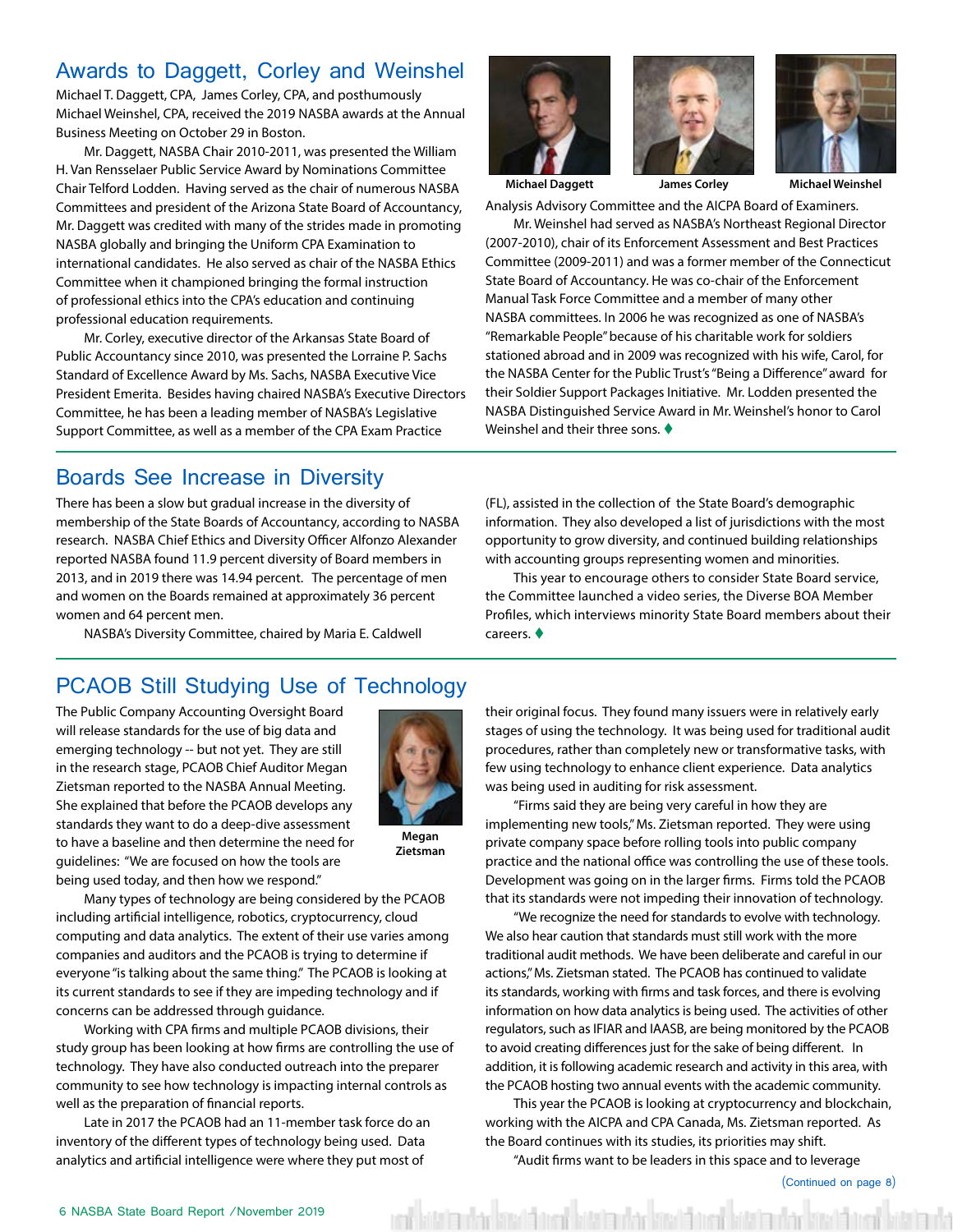#### Awards to Daggett, Corley and Weinshel

Michael T. Daggett, CPA, James Corley, CPA, and posthumously Michael Weinshel, CPA, received the 2019 NASBA awards at the Annual Business Meeting on October 29 in Boston.

Mr. Daggett, NASBA Chair 2010-2011, was presented the William H. Van Rensselaer Public Service Award by Nominations Committee Chair Telford Lodden. Having served as the chair of numerous NASBA Committees and president of the Arizona State Board of Accountancy, Mr. Daggett was credited with many of the strides made in promoting NASBA globally and bringing the Uniform CPA Examination to international candidates. He also served as chair of the NASBA Ethics Committee when it championed bringing the formal instruction of professional ethics into the CPA's education and continuing professional education requirements.

Mr. Corley, executive director of the Arkansas State Board of Public Accountancy since 2010, was presented the Lorraine P. Sachs Standard of Excellence Award by Ms. Sachs, NASBA Executive Vice President Emerita. Besides having chaired NASBA's Executive Directors Committee, he has been a leading member of NASBA's Legislative Support Committee, as well as a member of the CPA Exam Practice

#### Boards See Increase in Diversity

There has been a slow but gradual increase in the diversity of membership of the State Boards of Accountancy, according to NASBA research. NASBA Chief Ethics and Diversity Officer Alfonzo Alexander reported NASBA found 11.9 percent diversity of Board members in 2013, and in 2019 there was 14.94 percent. The percentage of men and women on the Boards remained at approximately 36 percent women and 64 percent men.

NASBA's Diversity Committee, chaired by Maria E. Caldwell

### PCAOB Still Studying Use of Technology

The Public Company Accounting Oversight Board will release standards for the use of big data and emerging technology -- but not yet. They are still in the research stage, PCAOB Chief Auditor Megan Zietsman reported to the NASBA Annual Meeting. She explained that before the PCAOB develops any standards they want to do a deep-dive assessment to have a baseline and then determine the need for guidelines: "We are focused on how the tools are being used today, and then how we respond."



**Megan Zietsman**

Many types of technology are being considered by the PCAOB including artificial intelligence, robotics, cryptocurrency, cloud computing and data analytics. The extent of their use varies among companies and auditors and the PCAOB is trying to determine if everyone "is talking about the same thing." The PCAOB is looking at its current standards to see if they are impeding technology and if concerns can be addressed through guidance.

Working with CPA firms and multiple PCAOB divisions, their study group has been looking at how firms are controlling the use of technology. They have also conducted outreach into the preparer community to see how technology is impacting internal controls as well as the preparation of financial reports.

Late in 2017 the PCAOB had an 11-member task force do an inventory of the different types of technology being used. Data analytics and artificial intelligence were where they put most of







**Michael Daggett James Corley Michael Weinshel**

Analysis Advisory Committee and the AICPA Board of Examiners.

Mr. Weinshel had served as NASBA's Northeast Regional Director (2007-2010), chair of its Enforcement Assessment and Best Practices Committee (2009-2011) and was a former member of the Connecticut State Board of Accountancy. He was co-chair of the Enforcement Manual Task Force Committee and a member of many other NASBA committees. In 2006 he was recognized as one of NASBA's "Remarkable People" because of his charitable work for soldiers stationed abroad and in 2009 was recognized with his wife, Carol, for the NASBA Center for the Public Trust's "Being a Difference" award for their Soldier Support Packages Initiative. Mr. Lodden presented the NASBA Distinguished Service Award in Mr. Weinshel's honor to Carol Weinshel and their three sons.  $\blacklozenge$ 

(FL), assisted in the collection of the State Board's demographic information. They also developed a list of jurisdictions with the most opportunity to grow diversity, and continued building relationships with accounting groups representing women and minorities.

This year to encourage others to consider State Board service, the Committee launched a video series, the Diverse BOA Member Profiles, which interviews minority State Board members about their  $careers.$   $\blacklozenge$ 

their original focus. They found many issuers were in relatively early stages of using the technology. It was being used for traditional audit procedures, rather than completely new or transformative tasks, with few using technology to enhance client experience. Data analytics was being used in auditing for risk assessment.

"Firms said they are being very careful in how they are implementing new tools," Ms. Zietsman reported. They were using private company space before rolling tools into public company practice and the national office was controlling the use of these tools. Development was going on in the larger firms. Firms told the PCAOB that its standards were not impeding their innovation of technology.

"We recognize the need for standards to evolve with technology. We also hear caution that standards must still work with the more traditional audit methods. We have been deliberate and careful in our actions," Ms. Zietsman stated. The PCAOB has continued to validate its standards, working with firms and task forces, and there is evolving information on how data analytics is being used. The activities of other regulators, such as IFIAR and IAASB, are being monitored by the PCAOB to avoid creating differences just for the sake of being different. In addition, it is following academic research and activity in this area, with the PCAOB hosting two annual events with the academic community.

This year the PCAOB is looking at cryptocurrency and blockchain, working with the AICPA and CPA Canada, Ms. Zietsman reported. As the Board continues with its studies, its priorities may shift.

"Audit firms want to be leaders in this space and to leverage

ed battle vlad land toed battle vladsad toed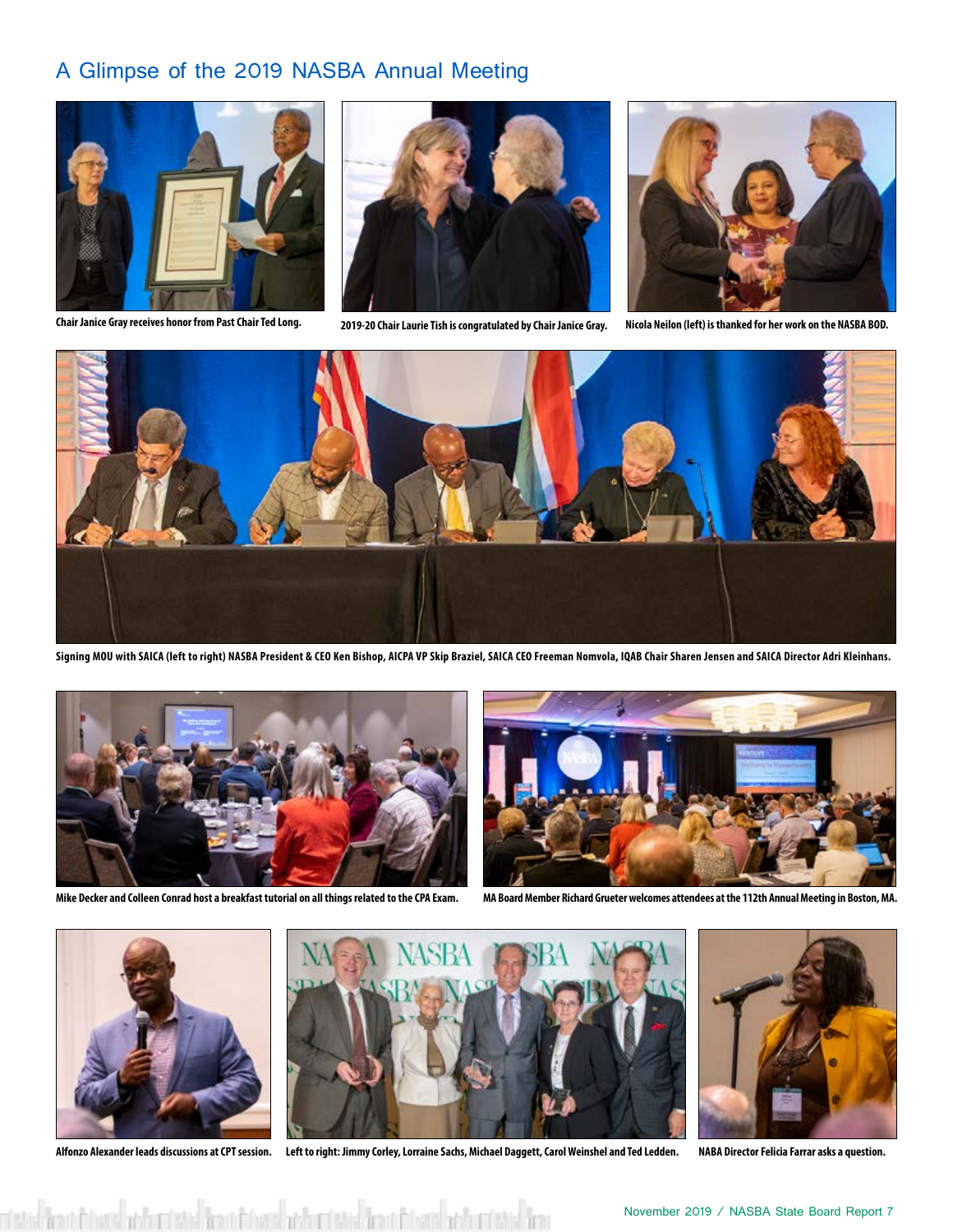#### A Glimpse of the 2019 NASBA Annual Meeting



**Chair Janice Gray receives honor from Past Chair Ted Long. 2019-20 Chair Laurie Tish is congratulated by Chair Janice Gray. Nicola Neilon (left) is thanked for her work on the NASBA BOD.**







**Signing MOU with SAICA (left to right) NASBA President & CEO Ken Bishop, AICPA VP Skip Braziel, SAICA CEO Freeman Nomvola, IQAB Chair Sharen Jensen and SAICA Director Adri Kleinhans.**





**Mike Decker and Colleen Conrad host a breakfast tutorial on all things related to the CPA Exam. MA Board Member Richard Grueter welcomes attendees at the 112th Annual Meeting in Boston, MA.**





**Alfonzo Alexander leads discussions at CPT session. Left to right: Jimmy Corley, Lorraine Sachs, Michael Daggett, Carol Weinshel and Ted Ledden. NABA Director Felicia Farrar asks a question.**